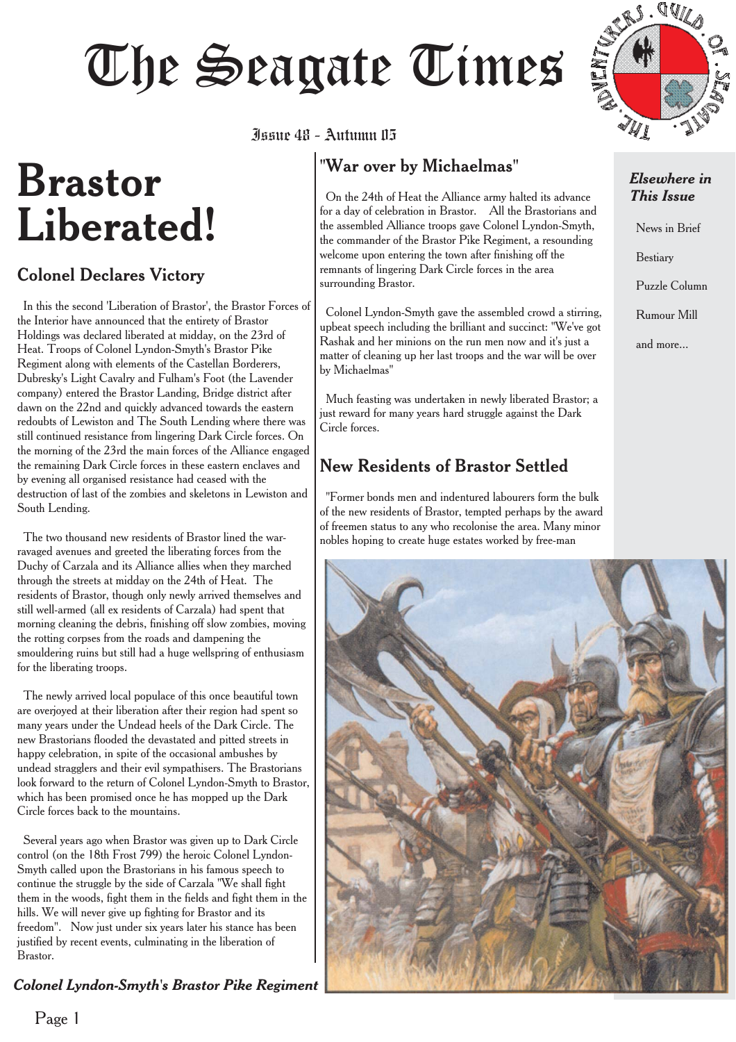# Juan 48 - Autumn 115

# **Brastor Liberated!**

#### Colonel Declares Victory

In this the second 'Liberation of Brastor', the Brastor Forces of the Interior have announced that the entirety of Brastor Holdings was declared liberated at midday, on the 23rd of Heat. Troops of Colonel Lyndon-Smyth's Brastor Pike Regiment along with elements of the Castellan Borderers, Dubresky's Light Cavalry and Fulham's Foot (the Lavender company) entered the Brastor Landing, Bridge district after dawn on the 22nd and quickly advanced towards the eastern redoubts of Lewiston and The South Lending where there was still continued resistance from lingering Dark Circle forces. On the morning of the 23rd the main forces of the Alliance engaged the remaining Dark Circle forces in these eastern enclaves and by evening all organised resistance had ceased with the destruction of last of the zombies and skeletons in Lewiston and South Lending.

The two thousand new residents of Brastor lined the warravaged avenues and greeted the liberating forces from the Duchy of Carzala and its Alliance allies when they marched through the streets at midday on the 24th of Heat. The residents of Brastor, though only newly arrived themselves and still well-armed (all ex residents of Carzala) had spent that morning cleaning the debris, finishing off slow zombies, moving the rotting corpses from the roads and dampening the smouldering ruins but still had a huge wellspring of enthusiasm for the liberating troops.

The newly arrived local populace of this once beautiful town are overjoyed at their liberation after their region had spent so many years under the Undead heels of the Dark Circle. The new Brastorians flooded the devastated and pitted streets in happy celebration, in spite of the occasional ambushes by undead stragglers and their evil sympathisers. The Brastorians look forward to the return of Colonel Lyndon-Smyth to Brastor, which has been promised once he has mopped up the Dark Circle forces back to the mountains.

Several years ago when Brastor was given up to Dark Circle control (on the 18th Frost 799) the heroic Colonel Lyndon-Smyth called upon the Brastorians in his famous speech to continue the struggle by the side of Carzala "We shall fight them in the woods, fight them in the fields and fight them in the hills. We will never give up fighting for Brastor and its freedom". Now just under six years later his stance has been justified by recent events, culminating in the liberation of Brastor.

#### *Colonel Lyndon-Smyth's Brastor Pike Regiment*

Issue 48 - Autumn 05

#### "War over by Michaelmas"

On the 24th of Heat the Alliance army halted its advance for a day of celebration in Brastor. All the Brastorians and the assembled Alliance troops gave Colonel Lyndon-Smyth, the commander of the Brastor Pike Regiment, a resounding welcome upon entering the town after finishing off the remnants of lingering Dark Circle forces in the area surrounding Brastor.

Colonel Lyndon-Smyth gave the assembled crowd a stirring, upbeat speech including the brilliant and succinct: "We've got Rashak and her minions on the run men now and it's just a matter of cleaning up her last troops and the war will be over by Michaelmas"

Much feasting was undertaken in newly liberated Brastor; a just reward for many years hard struggle against the Dark Circle forces.

#### New Residents of Brastor Settled

"Former bonds men and indentured labourers form the bulk of the new residents of Brastor, tempted perhaps by the award of freemen status to any who recolonise the area. Many minor nobles hoping to create huge estates worked by free-man



#### *Elsewhere in This Issue*

News in Brief

Bestiary

Puzzle Column

Rumour Mill

and more...



Page 1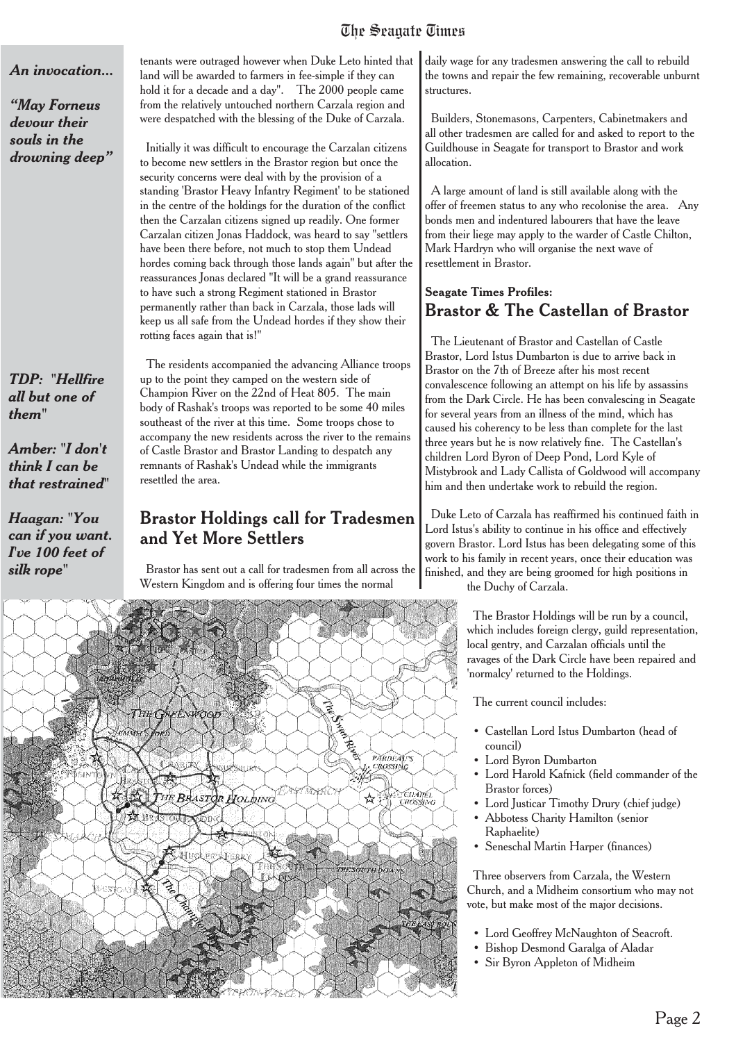#### *An invocation...*

*"May Forneus devour their souls in the drowning deep"*

*TDP: "Hellfire all but one of them"*

*Amber: "I don't think I can be that restrained"*

*Haagan: "You can if you want. I've 100 feet of silk rope"*

tenants were outraged however when Duke Leto hinted that land will be awarded to farmers in fee-simple if they can hold it for a decade and a day". The 2000 people came from the relatively untouched northern Carzala region and were despatched with the blessing of the Duke of Carzala.

Initially it was difficult to encourage the Carzalan citizens to become new settlers in the Brastor region but once the security concerns were deal with by the provision of a standing 'Brastor Heavy Infantry Regiment' to be stationed in the centre of the holdings for the duration of the conflict then the Carzalan citizens signed up readily. One former Carzalan citizen Jonas Haddock, was heard to say "settlers have been there before, not much to stop them Undead hordes coming back through those lands again" but after the reassurances Jonas declared "It will be a grand reassurance to have such a strong Regiment stationed in Brastor permanently rather than back in Carzala, those lads will keep us all safe from the Undead hordes if they show their rotting faces again that is!"

The residents accompanied the advancing Alliance troops up to the point they camped on the western side of Champion River on the 22nd of Heat 805. The main body of Rashak's troops was reported to be some 40 miles southeast of the river at this time. Some troops chose to accompany the new residents across the river to the remains of Castle Brastor and Brastor Landing to despatch any remnants of Rashak's Undead while the immigrants resettled the area.

#### Brastor Holdings call for Tradesmen and Yet More Settlers

Brastor has sent out a call for tradesmen from all across the Western Kingdom and is offering four times the normal



daily wage for any tradesmen answering the call to rebuild the towns and repair the few remaining, recoverable unburnt structures.

Builders, Stonemasons, Carpenters, Cabinetmakers and all other tradesmen are called for and asked to report to the Guildhouse in Seagate for transport to Brastor and work allocation.

A large amount of land is still available along with the offer of freemen status to any who recolonise the area. Any bonds men and indentured labourers that have the leave from their liege may apply to the warder of Castle Chilton, Mark Hardryn who will organise the next wave of resettlement in Brastor.

#### **Seagate Times Profiles:** Brastor & The Castellan of Brastor

The Lieutenant of Brastor and Castellan of Castle Brastor, Lord Istus Dumbarton is due to arrive back in Brastor on the 7th of Breeze after his most recent convalescence following an attempt on his life by assassins from the Dark Circle. He has been convalescing in Seagate for several years from an illness of the mind, which has caused his coherency to be less than complete for the last three years but he is now relatively fine. The Castellan's children Lord Byron of Deep Pond, Lord Kyle of Mistybrook and Lady Callista of Goldwood will accompany him and then undertake work to rebuild the region.

Duke Leto of Carzala has reaffirmed his continued faith in Lord Istus's ability to continue in his office and effectively govern Brastor. Lord Istus has been delegating some of this work to his family in recent years, once their education was finished, and they are being groomed for high positions in the Duchy of Carzala.

> The Brastor Holdings will be run by a council, which includes foreign clergy, guild representation, local gentry, and Carzalan officials until the ravages of the Dark Circle have been repaired and 'normalcy' returned to the Holdings.

The current council includes:

- Castellan Lord Istus Dumbarton (head of council)
- Lord Byron Dumbarton
- Lord Harold Kafnick (field commander of the Brastor forces)
- Lord Justicar Timothy Drury (chief judge)
- Abbotess Charity Hamilton (senior Raphaelite)
- Seneschal Martin Harper (finances)

Three observers from Carzala, the Western Church, and a Midheim consortium who may not vote, but make most of the major decisions.

- Lord Geoffrey McNaughton of Seacroft.
- Bishop Desmond Garalga of Aladar
- Sir Byron Appleton of Midheim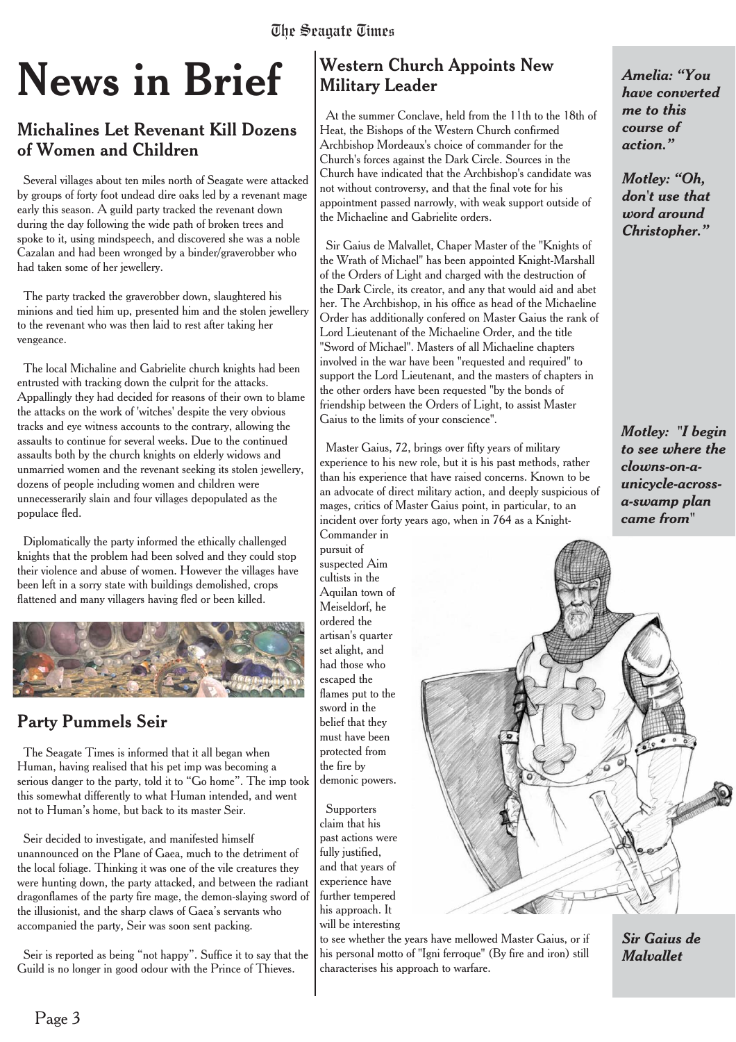# **News in Brief**

#### Michalines Let Revenant Kill Dozens of Women and Children

Several villages about ten miles north of Seagate were attacked by groups of forty foot undead dire oaks led by a revenant mage early this season. A guild party tracked the revenant down during the day following the wide path of broken trees and spoke to it, using mindspeech, and discovered she was a noble Cazalan and had been wronged by a binder/graverobber who had taken some of her jewellery.

The party tracked the graverobber down, slaughtered his minions and tied him up, presented him and the stolen jewellery to the revenant who was then laid to rest after taking her vengeance.

The local Michaline and Gabrielite church knights had been entrusted with tracking down the culprit for the attacks. Appallingly they had decided for reasons of their own to blame the attacks on the work of 'witches' despite the very obvious tracks and eye witness accounts to the contrary, allowing the assaults to continue for several weeks. Due to the continued assaults both by the church knights on elderly widows and unmarried women and the revenant seeking its stolen jewellery, dozens of people including women and children were unnecesserarily slain and four villages depopulated as the populace fled.

Diplomatically the party informed the ethically challenged knights that the problem had been solved and they could stop their violence and abuse of women. However the villages have been left in a sorry state with buildings demolished, crops flattened and many villagers having fled or been killed.



#### Party Pummels Seir

The Seagate Times is informed that it all began when Human, having realised that his pet imp was becoming a serious danger to the party, told it to "Go home". The imp took this somewhat differently to what Human intended, and went not to Human's home, but back to its master Seir.

Seir decided to investigate, and manifested himself unannounced on the Plane of Gaea, much to the detriment of the local foliage. Thinking it was one of the vile creatures they were hunting down, the party attacked, and between the radiant dragonflames of the party fire mage, the demon-slaying sword of the illusionist, and the sharp claws of Gaea's servants who accompanied the party, Seir was soon sent packing.

Seir is reported as being "not happy". Suffice it to say that the Guild is no longer in good odour with the Prince of Thieves.

#### **Western Church Appoints New Military Leader**

At the summer Conclave, held from the 11th to the 18th of Heat, the Bishops of the Western Church confirmed Archbishop Mordeaux's choice of commander for the Church's forces against the Dark Circle. Sources in the Church have indicated that the Archbishop's candidate was not without controversy, and that the final vote for his appointment passed narrowly, with weak support outside of the Michaeline and Gabrielite orders.

Sir Gaius de Malvallet, Chaper Master of the "Knights of the Wrath of Michael" has been appointed Knight-Marshall of the Orders of Light and charged with the destruction of the Dark Circle, its creator, and any that would aid and abet her. The Archbishop, in his office as head of the Michaeline Order has additionally confered on Master Gaius the rank of Lord Lieutenant of the Michaeline Order, and the title "Sword of Michael". Masters of all Michaeline chapters involved in the war have been "requested and required" to support the Lord Lieutenant, and the masters of chapters in the other orders have been requested "by the bonds of friendship between the Orders of Light, to assist Master Gaius to the limits of your conscience".

Master Gaius, 72, brings over fifty years of military experience to his new role, but it is his past methods, rather than his experience that have raised concerns. Known to be an advocate of direct military action, and deeply suspicious of mages, critics of Master Gaius point, in particular, to an incident over forty years ago, when in 764 as a Knight-Commander in

pursuit of suspected Aim cultists in the Aquilan town of Meiseldorf, he ordered the artisan's quarter set alight, and had those who escaped the flames put to the sword in the belief that they must have been protected from the fire by demonic powers.

**Supporters** claim that his past actions were fully justified. and that years of experience have further tempered his approach. It will be interesting

to see whether the years have mellowed Master Gaius, or if his personal motto of "Igni ferroque" (By fire and iron) still characterises his approach to warfare.

*Amelia: "You have converted me to this course of action."*

*Motley: "Oh, don't use that word around Christopher."*

*Motley: "I begin to see where the clowns-on-aunicycle-acrossa-swamp plan came from"*



*Sir Gaius de Malvallet*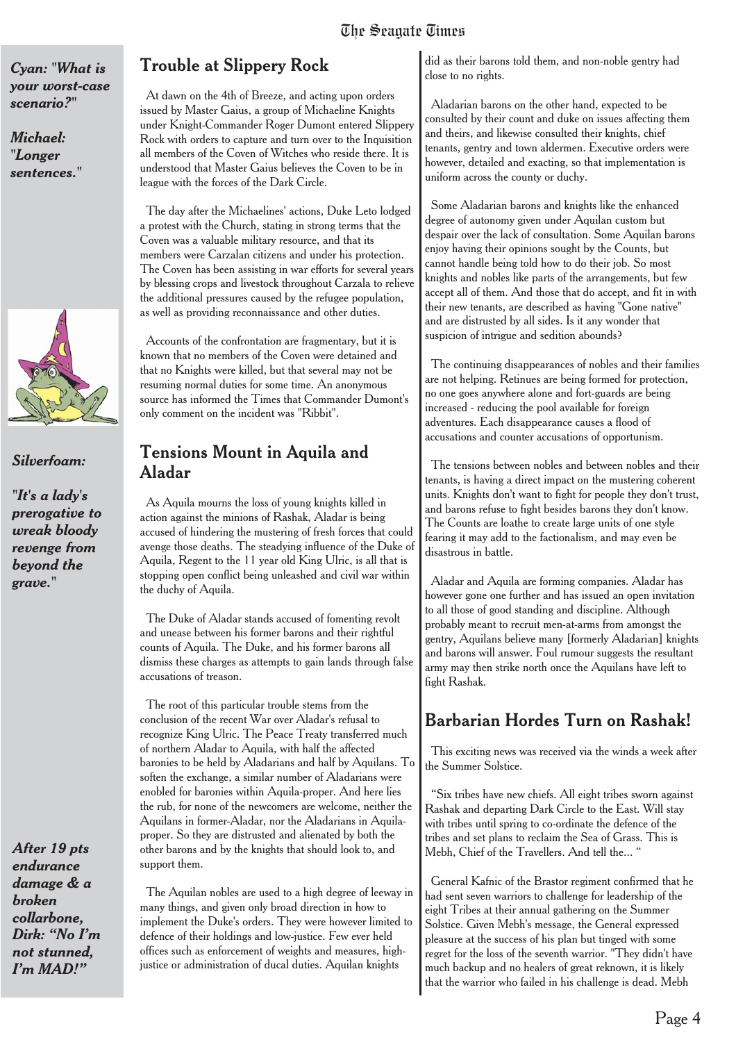#### *Cyan: "What is your worst-case scenario?"*

*Michael: "Longer sentences."*



*Silverfoam:*

*"It's a lady's prerogative to wreak bloody revenge from beyond the grave."*

*After 19 pts endurance damage & a broken collarbone, Dirk: "No I'm not stunned, I'm MAD!"*

#### Trouble at Slippery Rock

At dawn on the 4th of Breeze, and acting upon orders issued by Master Gaius, a group of Michaeline Knights under Knight-Commander Roger Dumont entered Slippery Rock with orders to capture and turn over to the Inquisition all members of the Coven of Witches who reside there. It is understood that Master Gaius believes the Coven to be in league with the forces of the Dark Circle.

The day after the Michaelines' actions, Duke Leto lodged a protest with the Church, stating in strong terms that the Coven was a valuable military resource, and that its members were Carzalan citizens and under his protection. The Coven has been assisting in war efforts for several years by blessing crops and livestock throughout Carzala to relieve the additional pressures caused by the refugee population, as well as providing reconnaissance and other duties.

Accounts of the confrontation are fragmentary, but it is known that no members of the Coven were detained and that no Knights were killed, but that several may not be resuming normal duties for some time. An anonymous source has informed the Times that Commander Dumont's only comment on the incident was "Ribbit".

#### Tensions Mount in Aquila and Aladar

As Aquila mourns the loss of young knights killed in action against the minions of Rashak, Aladar is being accused of hindering the mustering of fresh forces that could avenge those deaths. The steadying influence of the Duke of Aquila, Regent to the 11 year old King Ulric, is all that is stopping open conflict being unleashed and civil war within the duchy of Aquila.

The Duke of Aladar stands accused of fomenting revolt and unease between his former barons and their rightful counts of Aquila. The Duke, and his former barons all dismiss these charges as attempts to gain lands through false accusations of treason.

The root of this particular trouble stems from the conclusion of the recent War over Aladar's refusal to recognize King Ulric. The Peace Treaty transferred much of northern Aladar to Aquila, with half the affected baronies to be held by Aladarians and half by Aquilans. To soften the exchange, a similar number of Aladarians were enobled for baronies within Aquila-proper. And here lies the rub, for none of the newcomers are welcome, neither the Aquilans in former-Aladar, nor the Aladarians in Aquilaproper. So they are distrusted and alienated by both the other barons and by the knights that should look to, and support them.

The Aquilan nobles are used to a high degree of leeway in many things, and given only broad direction in how to implement the Duke's orders. They were however limited to defence of their holdings and low-justice. Few ever held offices such as enforcement of weights and measures, highjustice or administration of ducal duties. Aquilan knights

did as their barons told them, and non-noble gentry had close to no rights.

Aladarian barons on the other hand, expected to be consulted by their count and duke on issues affecting them and theirs, and likewise consulted their knights, chief tenants, gentry and town aldermen. Executive orders were however, detailed and exacting, so that implementation is uniform across the county or duchy.

Some Aladarian barons and knights like the enhanced degree of autonomy given under Aquilan custom but despair over the lack of consultation. Some Aquilan barons enjoy having their opinions sought by the Counts, but cannot handle being told how to do their job. So most knights and nobles like parts of the arrangements, but few accept all of them. And those that do accept, and fit in with their new tenants, are described as having "Gone native" and are distrusted by all sides. Is it any wonder that suspicion of intrigue and sedition abounds?

The continuing disappearances of nobles and their families are not helping. Retinues are being formed for protection, no one goes anywhere alone and fort-guards are being increased - reducing the pool available for foreign adventures. Each disappearance causes a flood of accusations and counter accusations of opportunism.

The tensions between nobles and between nobles and their tenants, is having a direct impact on the mustering coherent units. Knights don't want to fight for people they don't trust, and barons refuse to fight besides barons they don't know. The Counts are loathe to create large units of one style fearing it may add to the factionalism, and may even be disastrous in battle.

Aladar and Aquila are forming companies. Aladar has however gone one further and has issued an open invitation to all those of good standing and discipline. Although probably meant to recruit men-at-arms from amongst the gentry, Aquilans believe many [formerly Aladarian] knights and barons will answer. Foul rumour suggests the resultant army may then strike north once the Aquilans have left to fight Rashak.

#### Barbarian Hordes Turn on Rashak!

This exciting news was received via the winds a week after the Summer Solstice.

"Six tribes have new chiefs. All eight tribes sworn against Rashak and departing Dark Circle to the East. Will stay with tribes until spring to co-ordinate the defence of the tribes and set plans to reclaim the Sea of Grass. This is Mebh, Chief of the Travellers. And tell the... "

General Kafnic of the Brastor regiment confirmed that he had sent seven warriors to challenge for leadership of the eight Tribes at their annual gathering on the Summer Solstice. Given Mebh's message, the General expressed pleasure at the success of his plan but tinged with some regret for the loss of the seventh warrior. "They didn't have much backup and no healers of great reknown, it is likely that the warrior who failed in his challenge is dead. Mebh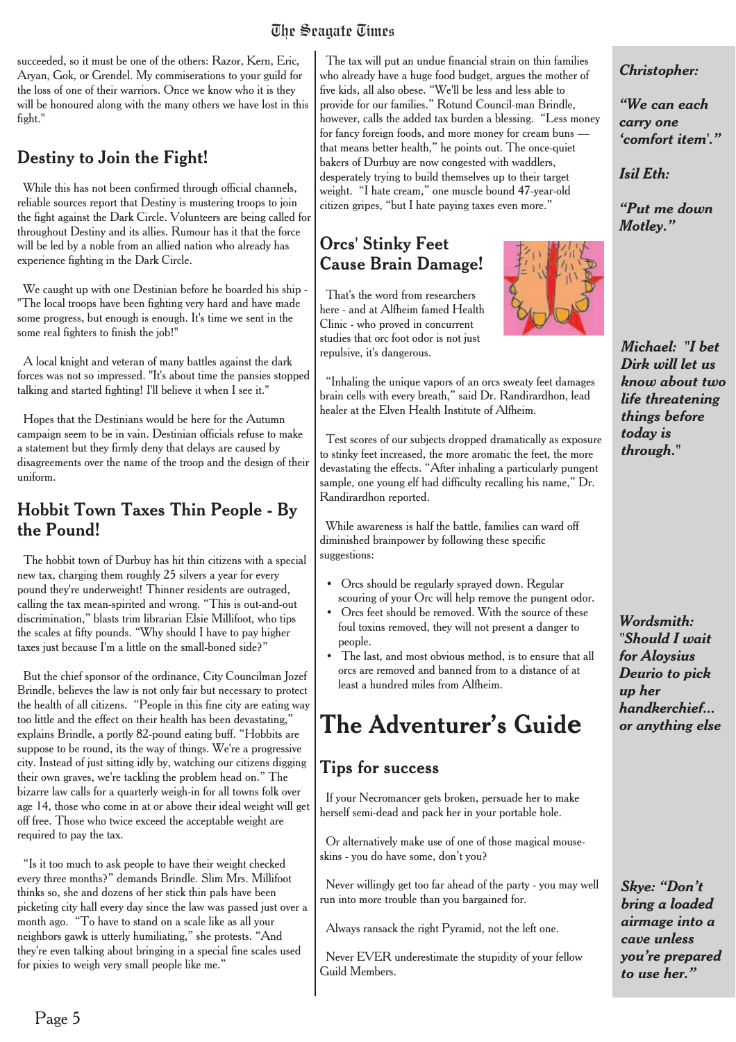succeeded, so it must be one of the others: Razor, Kern, Eric, Aryan, Gok, or Grendel. My commiserations to your guild for the loss of one of their warriors. Once we know who it is they will be honoured along with the many others we have lost in this fight."

#### Destiny to Join the Fight!

While this has not been confirmed through official channels, reliable sources report that Destiny is mustering troops to join the fight against the Dark Circle. Volunteers are being called for throughout Destiny and its allies. Rumour has it that the force will be led by a noble from an allied nation who already has experience fighting in the Dark Circle.

We caught up with one Destinian before he boarded his ship -"The local troops have been fighting very hard and have made some progress, but enough is enough. It's time we sent in the some real fighters to finish the job!"

A local knight and veteran of many battles against the dark forces was not so impressed. "It's about time the pansies stopped talking and started fighting! I'll believe it when I see it."

Hopes that the Destinians would be here for the Autumn campaign seem to be in vain. Destinian officials refuse to make a statement but they firmly deny that delays are caused by disagreements over the name of the troop and the design of their uniform.

#### Hobbit Town Taxes Thin People - By the Pound!

The hobbit town of Durbuy has hit thin citizens with a special new tax, charging them roughly 25 silvers a year for every pound they're underweight! Thinner residents are outraged, calling the tax mean-spirited and wrong. "This is out-and-out discrimination," blasts trim librarian Elsie Millifoot, who tips the scales at fifty pounds. "Why should I have to pay higher taxes just because I'm a little on the small-boned side?"

But the chief sponsor of the ordinance, City Councilman Jozef Brindle, believes the law is not only fair but necessary to protect the health of all citizens. "People in this fine city are eating way too little and the effect on their health has been devastating," explains Brindle, a portly 82-pound eating buff. "Hobbits are suppose to be round, its the way of things. We're a progressive city. Instead of just sitting idly by, watching our citizens digging their own graves, we're tackling the problem head on." The bizarre law calls for a quarterly weigh-in for all towns folk over age 14, those who come in at or above their ideal weight will get off free. Those who twice exceed the acceptable weight are required to pay the tax.

"Is it too much to ask people to have their weight checked every three months?" demands Brindle. Slim Mrs. Millifoot thinks so, she and dozens of her stick thin pals have been picketing city hall every day since the law was passed just over a month ago. "To have to stand on a scale like as all your neighbors gawk is utterly humiliating," she protests. "And they're even talking about bringing in a special fine scales used for pixies to weigh very small people like me."

The tax will put an undue financial strain on thin families who already have a huge food budget, argues the mother of five kids, all also obese. "We'll be less and less able to provide for our families." Rotund Council-man Brindle, however, calls the added tax burden a blessing. "Less money for fancy foreign foods, and more money for cream buns that means better health," he points out. The once-quiet bakers of Durbuy are now congested with waddlers, desperately trying to build themselves up to their target weight. "I hate cream," one muscle bound 47-year-old citizen gripes, "but I hate paying taxes even more."

#### **Orcs' Stinky Feet Cause Brain Damage!**

That's the word from researchers here - and at Alfheim famed Health Clinic - who proved in concurrent studies that orc foot odor is not just repulsive, it's dangerous.

"Inhaling the unique vapors of an orcs sweaty feet damages brain cells with every breath," said Dr. Randirardhon, lead healer at the Elven Health Institute of Alfheim.

Test scores of our subjects dropped dramatically as exposure to stinky feet increased, the more aromatic the feet, the more devastating the effects. "After inhaling a particularly pungent sample, one young elf had difficulty recalling his name," Dr. Randirardhon reported.

While awareness is half the battle, families can ward off diminished brainpower by following these specific suggestions:

- Orcs should be regularly sprayed down. Regular scouring of your Orc will help remove the pungent odor.
- Orcs feet should be removed. With the source of these foul toxins removed, they will not present a danger to people.
- The last, and most obvious method, is to ensure that all orcs are removed and banned from to a distance of at least a hundred miles from Alfheim.

# **The Adventurer's Guide**

#### **Tips for success**

If your Necromancer gets broken, persuade her to make herself semi-dead and pack her in your portable hole.

Or alternatively make use of one of those magical mouseskins - you do have some, don't you?

Never willingly get too far ahead of the party - you may well run into more trouble than you bargained for.

Always ransack the right Pyramid, not the left one.

Never EVER underestimate the stupidity of your fellow Guild Members.

#### *Christopher:*

*"We can each carry one 'comfort item'."*

*Isil Eth:*

*"Put me down Motley."*

*Michael: "I bet Dirk will let us know about two life threatening things before today is through."*

*Wordsmith: "Should I wait for Aloysius Deurio to pick up her handkerchief... or anything else*

*Skye: "Don't bring a loaded airmage into a cave unless you're prepared to use her."*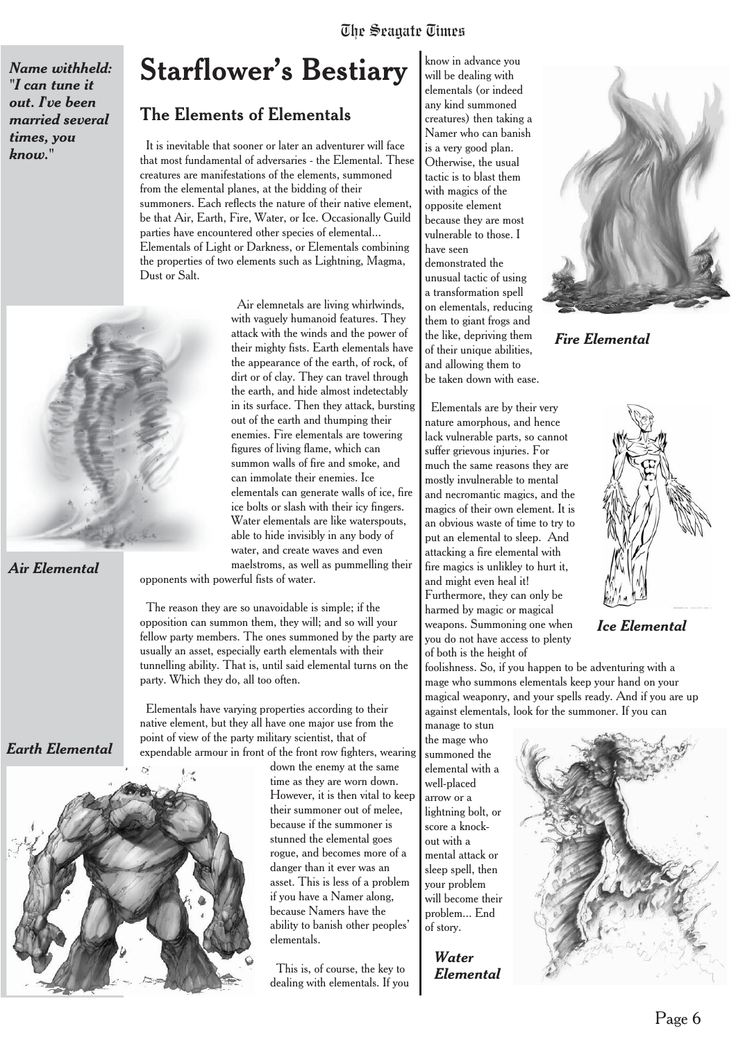*Name withheld: "I can tune it out. I've been married several times, you know."*

*Air Elemental*

*Earth Elemental*

## **Starflower's Bestiary**

#### The Elements of Elementals

It is inevitable that sooner or later an adventurer will face that most fundamental of adversaries - the Elemental. These creatures are manifestations of the elements, summoned from the elemental planes, at the bidding of their summoners. Each reflects the nature of their native element, be that Air, Earth, Fire, Water, or Ice. Occasionally Guild parties have encountered other species of elemental... Elementals of Light or Darkness, or Elementals combining the properties of two elements such as Lightning, Magma, Dust or Salt.

Air elemnetals are living whirlwinds, with vaguely humanoid features. They attack with the winds and the power of their mighty fists. Earth elementals have the appearance of the earth, of rock, of dirt or of clay. They can travel through the earth, and hide almost indetectably in its surface. Then they attack, bursting out of the earth and thumping their enemies. Fire elementals are towering figures of living flame, which can summon walls of fire and smoke, and can immolate their enemies. Ice elementals can generate walls of ice, fire ice bolts or slash with their icy fingers. Water elementals are like waterspouts, able to hide invisibly in any body of water, and create waves and even maelstroms, as well as pummelling their opponents with powerful fists of water.

The reason they are so unavoidable is simple; if the opposition can summon them, they will; and so will your fellow party members. The ones summoned by the party are usually an asset, especially earth elementals with their tunnelling ability. That is, until said elemental turns on the party. Which they do, all too often.

Elementals have varying properties according to their native element, but they all have one major use from the point of view of the party military scientist, that of

expendable armour in front of the front row fighters, wearing

down the enemy at the same time as they are worn down. However, it is then vital to keep their summoner out of melee, because if the summoner is stunned the elemental goes rogue, and becomes more of a danger than it ever was an asset. This is less of a problem if you have a Namer along, because Namers have the ability to banish other peoples' elementals.

This is, of course, the key to dealing with elementals. If you

know in advance you will be dealing with elementals (or indeed any kind summoned creatures) then taking a Namer who can banish is a very good plan. Otherwise, the usual tactic is to blast them with magics of the opposite element because they are most vulnerable to those. I have seen demonstrated the unusual tactic of using a transformation spell on elementals, reducing them to giant frogs and the like, depriving them of their unique abilities, and allowing them to be taken down with ease.



foolishness. So, if you happen to be adventuring with a mage who summons elementals keep your hand on your magical weaponry, and your spells ready. And if you are up against elementals, look for the summoner. If you can

the mage who summoned the elemental with a well-placed arrow or a lightning bolt, or score a knockout with a mental attack or sleep spell, then your problem will become their problem... End of story.

> *Water Elemental*



*Fire Elemental*



*Ice Elemental*

manage to stun

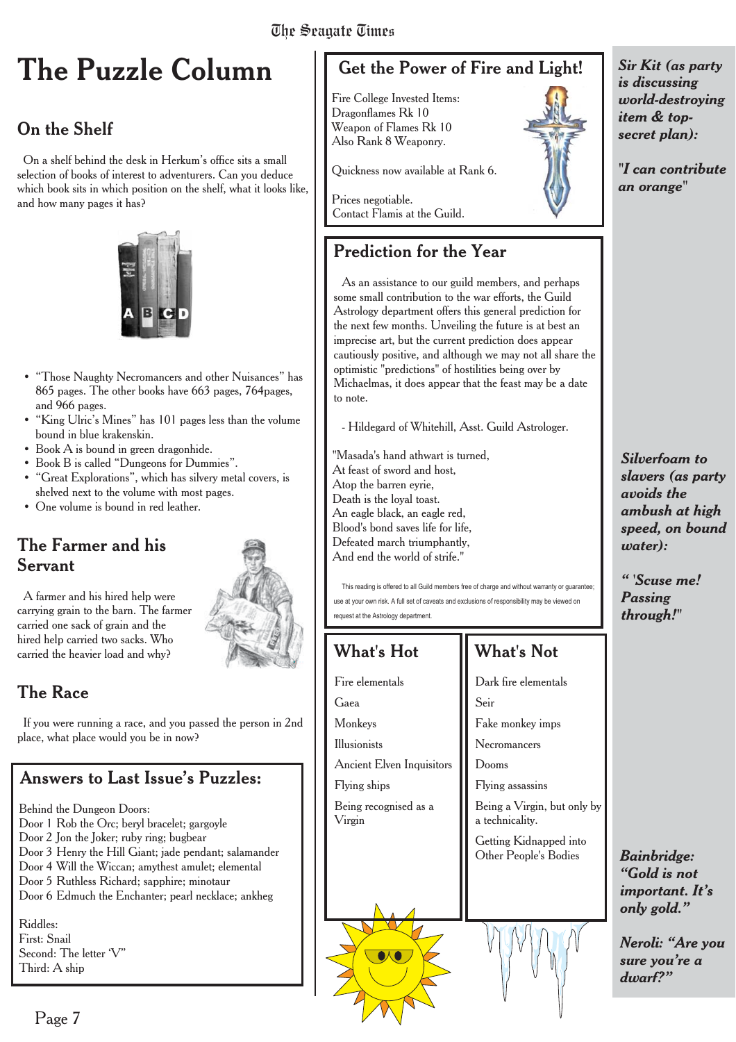# **The Puzzle Column**

#### On the Shelf

On a shelf behind the desk in Herkum's office sits a small selection of books of interest to adventurers. Can you deduce which book sits in which position on the shelf, what it looks like, and how many pages it has?



- "Those Naughty Necromancers and other Nuisances" has 865 pages. The other books have 663 pages, 764pages, and 966 pages.
- "King Ulric's Mines" has 101 pages less than the volume bound in blue krakenskin.
- Book A is bound in green dragonhide.
- Book B is called "Dungeons for Dummies".
- "Great Explorations", which has silvery metal covers, is shelved next to the volume with most pages.
- One volume is bound in red leather.

#### The Farmer and his Servant



A farmer and his hired help were carrying grain to the barn. The farmer carried one sack of grain and the hired help carried two sacks. Who carried the heavier load and why?

#### The Race

If you were running a race, and you passed the person in 2nd place, what place would you be in now?

#### Answers to Last Issue's Puzzles:

Behind the Dungeon Doors:

- Door 1 Rob the Orc; beryl bracelet; gargoyle
- Door 2 Jon the Joker; ruby ring; bugbear
- Door 3 Henry the Hill Giant; jade pendant; salamander
- Door 4 Will the Wiccan; amythest amulet; elemental
- Door 5 Ruthless Richard; sapphire; minotaur
- Door 6 Edmuch the Enchanter; pearl necklace; ankheg

Riddles: First: Snail Second: The letter 'V" Third: A ship

## Get the Power of Fire and Light!

Fire College Invested Items: Dragonflames Rk 10 Weapon of Flames Rk 10 Also Rank 8 Weaponry.

Quickness now available at Rank 6.

Prices negotiable. Contact Flamis at the Guild.

#### Prediction for the Year

As an assistance to our guild members, and perhaps some small contribution to the war efforts, the Guild Astrology department offers this general prediction for the next few months. Unveiling the future is at best an imprecise art, but the current prediction does appear cautiously positive, and although we may not all share the optimistic "predictions" of hostilities being over by Michaelmas, it does appear that the feast may be a date to note.

- Hildegard of Whitehill, Asst. Guild Astrologer.

"Masada's hand athwart is turned, At feast of sword and host, Atop the barren evrie. Death is the loyal toast. An eagle black, an eagle red, Blood's bond saves life for life, Defeated march triumphantly, And end the world of strife."

This reading is offered to all Guild members free of charge and without warranty or guarantee; use at your own risk. A full set of caveats and exclusions of responsibility may be viewed on request at the Astrology department.

#### What's Hot

Fire elementals

Flying ships

Virgin

Ancient Elven Inquisitors

Being recognised as a

Gaea Monkeys Illusionists Dark fire elementals Seir Fake monkey imps Necromancers Dooms

What's Not

Flying assassins

Being a Virgin, but only by a technicality.

Getting Kidnapped into Other People's Bodies



*Sir Kit (as party is discussing world-destroying item & topsecret plan):*

*"I can contribute an orange"*

*Silverfoam to slavers (as party avoids the ambush at high speed, on bound water):*

*" 'Scuse me! Passing through!"*

*Bainbridge: "Gold is not important. It's only gold."*

*Neroli: "Are you sure you're a dwarf?"*